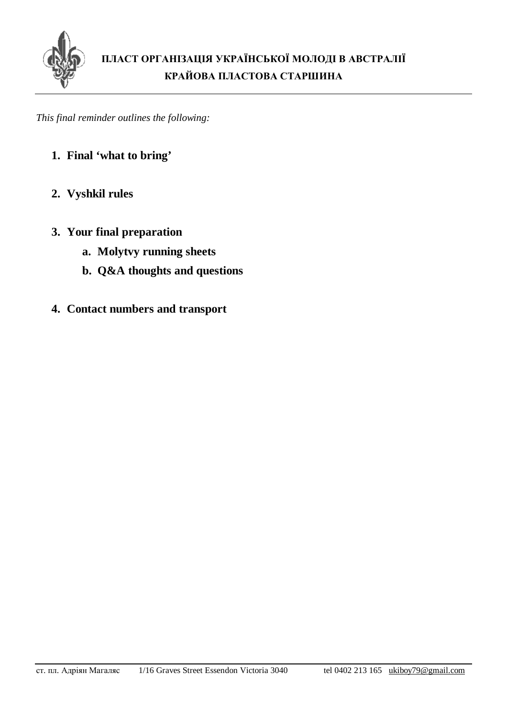

*This final reminder outlines the following:* 

- **1. Final 'what to bring'**
- **2. Vyshkil rules**
- **3. Your final preparation** 
	- **a. Molytvy running sheets**
	- **b. Q&A thoughts and questions**
- **4. Contact numbers and transport**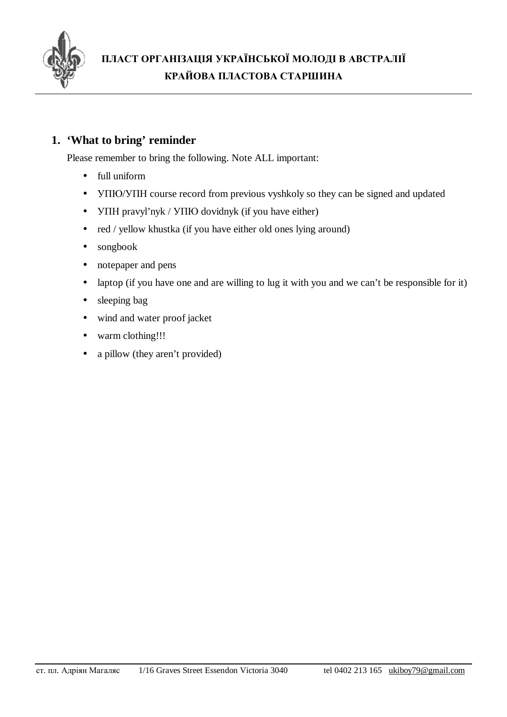

# **1. 'What to bring' reminder**

Please remember to bring the following. Note ALL important:

- full uniform
- УПЮ/УПН course record from previous vyshkoly so they can be signed and updated
- УПН pravyl'nyk / УПЮ dovidnyk (if you have either)
- red / yellow khustka (if you have either old ones lying around)
- songbook
- notepaper and pens
- laptop (if you have one and are willing to lug it with you and we can't be responsible for it)
- sleeping bag
- wind and water proof jacket
- warm clothing!!!
- a pillow (they aren't provided)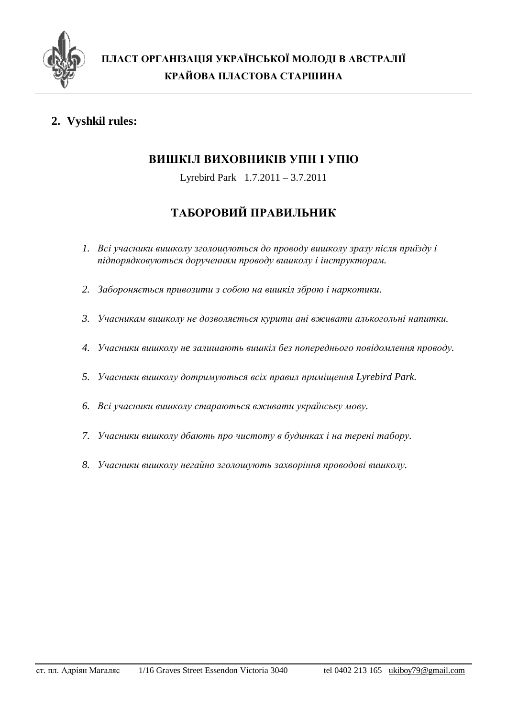

# **2. Vyshkil rules:**

# **ВИШКІЛ ВИХОВНИКІВ УПН І УПЮ**

Lyrebird Park 1.7.2011 – 3.7.2011

# **ТАБОРОВИЙ ПРАВИЛЬНИК**

- *1. Всі учасники вишколу зголошуються до проводу вишколу зразу після приїзду і підпорядковуються дорученням проводу вишколу і інструкторам.*
- *2. Забороняється привозити з собою на вишкіл зброю і наркотики.*
- *3. Учасникам вишколу не дозволяється курити ані вживати алькогольні напитки.*
- *4. Учасники вишколу нe залишають вишкіл без попереднього повідомлення проводу.*
- *5. Учасники вишколу дотримуються всіх правил приміщення Lyrebird Park.*
- *6. Всі учасники вишколу стараються вживати українську мову.*
- *7. Учасники вишколу дбають про чистоту в будинках і на терені табору.*
- *8. Учасники вишколу негайно зголошують захворіння проводові вишколу.*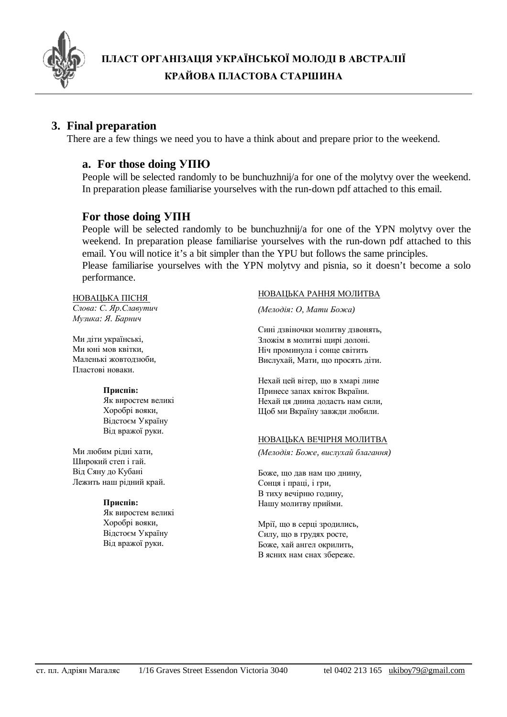

## **3. Final preparation**

There are a few things we need you to have a think about and prepare prior to the weekend.

### **a. For those doing УПЮ**

People will be selected randomly to be bunchuzhnij/a for one of the molytvy over the weekend. In preparation please familiarise yourselves with the run-down pdf attached to this email.

### **For those doing УПН**

People will be selected randomly to be bunchuzhnij/a for one of the YPN molytvy over the weekend. In preparation please familiarise yourselves with the run-down pdf attached to this email. You will notice it's a bit simpler than the YPU but follows the same principles. Please familiarise yourselves with the YPN molytvy and pisnia, so it doesn't become a solo performance.

НОВАЦЬКА ПІСНЯ *Слова: С. Яр.Славутич Музика: Я. Барнич*

Ми діти українські, Ми юні мов квітки, Маленькі жовтодзюби, Пластові новаки.

#### **Приспів:**

Як виростем великі Хоробрі вояки, Відстоєм Україну Від вражої руки.

Ми любим рідні хати, Широкий степ і гай. Від Сяну до Кубані Лежить наш рідний край.

#### **Приспів:**

Як виростем великі Хоробрі вояки, Відстоєм Україну Від вражої руки.

#### НОВАЦЬКА РАННЯ МОЛИТВА

*(Мелодія: О, Мати Божа)* 

Сині дзвіночки молитву дзвонять, Зложім в молитві щирі долоні. Ніч проминула і сонце світить Вислухай, Мати, що просять діти.

Нехай цей вітер, що в хмарі лине Принесе запах квіток Вкраїни. Нехай ця днина додасть нам сили, Щоб ми Вкраїну завжди любили.

#### НОВАЦЬКА ВЕЧІРНЯ МОЛИТВА

*(Мелодія: Боже, вислухай благання)* 

Боже, що дав нам цю днину, Сонця і праці, і гри, В тиху вечірню годину, Нашу молитву прийми.

Мрії, що в серці зродились, Силу, що в грудях росте, Боже, хай ангел окрилить, В ясних нам снах збереже.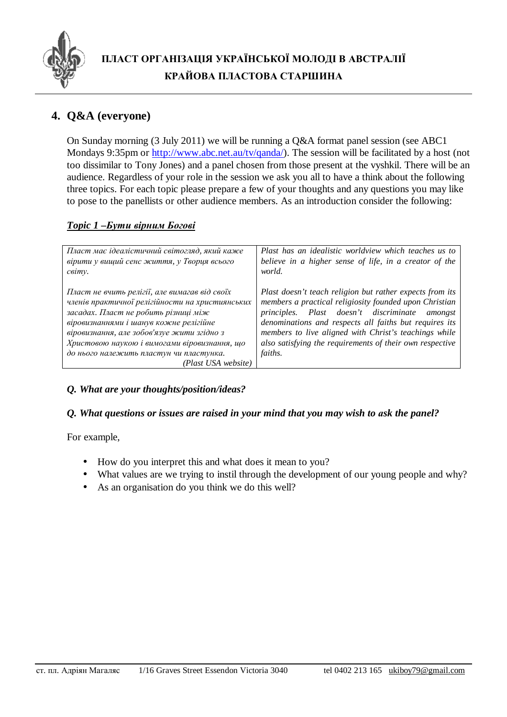

# **4. Q&A (everyone)**

On Sunday morning (3 July 2011) we will be running a Q&A format panel session (see ABC1 Mondays 9:35pm or [http://www.abc.net.au/tv/qanda/\)](http://www.abc.net.au/tv/qanda/). The session will be facilitated by a host (not too dissimilar to Tony Jones) and a panel chosen from those present at the vyshkil. There will be an audience. Regardless of your role in the session we ask you all to have a think about the following three topics. For each topic please prepare a few of your thoughts and any questions you may like to pose to the panellists or other audience members. As an introduction consider the following:

## *Topic 1 –Бути вірним Богові*

| Пласт має ідеалістичний світогляд, який каже                                                                                                                                                                                                                                                                                                       | Plast has an idealistic worldview which teaches us to                                                                                                                                                                                                                                                                                                                       |
|----------------------------------------------------------------------------------------------------------------------------------------------------------------------------------------------------------------------------------------------------------------------------------------------------------------------------------------------------|-----------------------------------------------------------------------------------------------------------------------------------------------------------------------------------------------------------------------------------------------------------------------------------------------------------------------------------------------------------------------------|
| вірити у вищий сенс життя, у Творця всього                                                                                                                                                                                                                                                                                                         | believe in a higher sense of life, in a creator of the                                                                                                                                                                                                                                                                                                                      |
| світу.                                                                                                                                                                                                                                                                                                                                             | world.                                                                                                                                                                                                                                                                                                                                                                      |
| Пласт не вчить релігії, але вимагав від своїх<br>членів практичної релігійности на християнських<br>засадах. Пласт не робить різниці між<br>віровизнаннями і шанув кожне релігійне<br>віровизнання, але зобов'язуе жити згідно з<br>Христовою наукою і вимогами віровизнання, що<br>до нього належить пластун чи пластунка.<br>(Plast USA website) | Plast doesn't teach religion but rather expects from its<br>members a practical religiosity founded upon Christian<br>Plast doesn't discriminate<br><i>principles.</i><br>amongst<br>denominations and respects all faiths but requires its<br>members to live aligned with Christ's teachings while<br>also satisfying the requirements of their own respective<br>faiths. |

# *Q. What are your thoughts/position/ideas?*

### *Q. What questions or issues are raised in your mind that you may wish to аsk the panel?*

For example,

- How do you interpret this and what does it mean to you?
- What values are we trying to instil through the development of our young people and why?
- As an organisation do you think we do this well?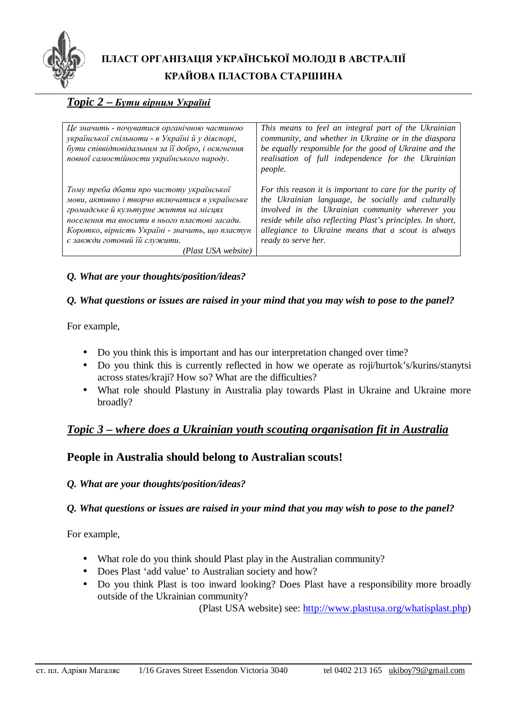

# *Topic 2* **–** *Бути вірним Україні*

| Це значить - почуватися органічною частиною<br>української спільноти - в Україні й у діяспорі,<br>бути співвідповідальним за її добро, і осягнення<br>повної самостійности українського народу.                                                                                                 | This means to feel an integral part of the Ukrainian<br>community, and whether in Ukraine or in the diaspora<br>be equally responsible for the good of Ukraine and the<br>realisation of full independence for the Ukrainian<br><i>people.</i>                                                                 |
|-------------------------------------------------------------------------------------------------------------------------------------------------------------------------------------------------------------------------------------------------------------------------------------------------|----------------------------------------------------------------------------------------------------------------------------------------------------------------------------------------------------------------------------------------------------------------------------------------------------------------|
| Тому треба дбати про чистоту української<br>мови, активно і творчо включатися в українське<br>громадське й культурне життя на місцях<br>поселення та вносити в нього пластові засади.<br>Коротко, вірність Україні - значить, що пластун<br>є завжди готовий їй служити.<br>(Plast USA website) | For this reason it is important to care for the purity of<br>the Ukrainian language, be socially and culturally<br>involved in the Ukrainian community wherever you<br>reside while also reflecting Plast's principles. In short,<br>allegiance to Ukraine means that a scout is always<br>ready to serve her. |

### *Q. What are your thoughts/position/ideas?*

#### *Q. What questions or issues are raised in your mind that you may wish to pose to the panel?*

For example,

- Do you think this is important and has our interpretation changed over time?
- Do you think this is currently reflected in how we operate as roji/hurtok's/kurins/stanytsi across states/kraji? How so? What are the difficulties?
- What role should Plastuny in Australia play towards Plast in Ukraine and Ukraine more broadly?

# *Topic 3 – where does a Ukrainian youth scouting organisation fit in Australia*

# **People in Australia should belong to Australian scouts!**

### *Q. What are your thoughts/position/ideas?*

### *Q. What questions or issues are raised in your mind that you may wish to pose to the panel?*

For example,

- What role do you think should Plast play in the Australian community?
- Does Plast 'add value' to Australian society and how?
- Do you think Plast is too inward looking? Does Plast have a responsibility more broadly outside of the Ukrainian community?

(Plast USA website) see: [http://www.plastusa.org/whatisplast.php\)](http://www.plastusa.org/whatisplast.php)